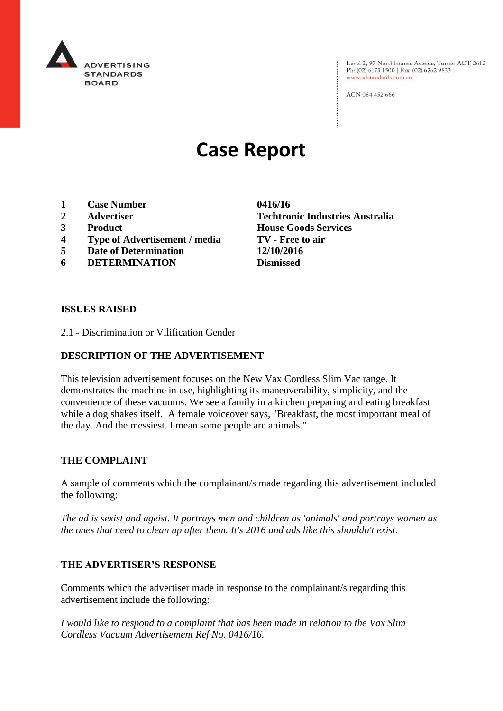

Level 2, 97 Northbourne Avenue, Turner ACT 2612<br>Ph: (02) 6173 1500 | Fax: (02) 6262 9833 www.adstandards.com.au

ACN 084 452 666

# **Case Report**

- **1 Case Number 0416/16**
- 
- 
- **4 Type of Advertisement / media TV - Free to air**
- **5 Date of Determination 12/10/2016**
- **6 DETERMINATION Dismissed**

**2 Advertiser Techtronic Industries Australia 3 Product House Goods Services**

#### **ISSUES RAISED**

2.1 - Discrimination or Vilification Gender

## **DESCRIPTION OF THE ADVERTISEMENT**

This television advertisement focuses on the New Vax Cordless Slim Vac range. It demonstrates the machine in use, highlighting its maneuverability, simplicity, and the convenience of these vacuums. We see a family in a kitchen preparing and eating breakfast while a dog shakes itself. A female voiceover says, "Breakfast, the most important meal of the day. And the messiest. I mean some people are animals."

### **THE COMPLAINT**

A sample of comments which the complainant/s made regarding this advertisement included the following:

*The ad is sexist and ageist. It portrays men and children as 'animals' and portrays women as the ones that need to clean up after them. It's 2016 and ads like this shouldn't exist.*

### **THE ADVERTISER'S RESPONSE**

Comments which the advertiser made in response to the complainant/s regarding this advertisement include the following:

*I would like to respond to a complaint that has been made in relation to the Vax Slim Cordless Vacuum Advertisement Ref No. 0416/16.*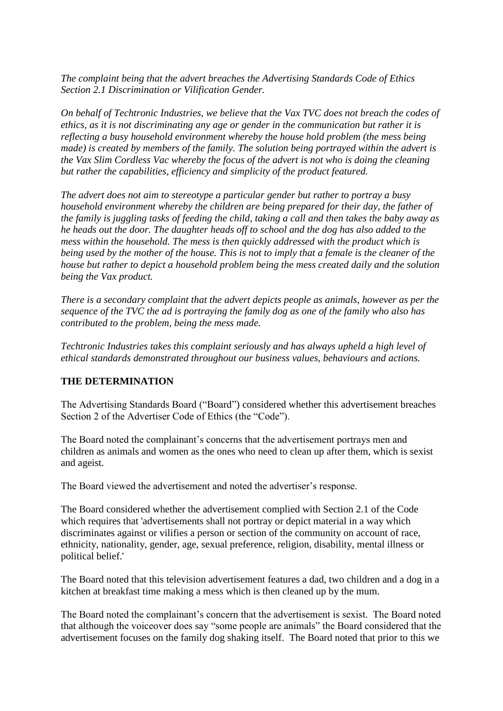*The complaint being that the advert breaches the Advertising Standards Code of Ethics Section 2.1 Discrimination or Vilification Gender.*

*On behalf of Techtronic Industries, we believe that the Vax TVC does not breach the codes of ethics, as it is not discriminating any age or gender in the communication but rather it is reflecting a busy household environment whereby the house hold problem (the mess being made) is created by members of the family. The solution being portrayed within the advert is the Vax Slim Cordless Vac whereby the focus of the advert is not who is doing the cleaning but rather the capabilities, efficiency and simplicity of the product featured.*

*The advert does not aim to stereotype a particular gender but rather to portray a busy household environment whereby the children are being prepared for their day, the father of the family is juggling tasks of feeding the child, taking a call and then takes the baby away as he heads out the door. The daughter heads off to school and the dog has also added to the mess within the household. The mess is then quickly addressed with the product which is being used by the mother of the house. This is not to imply that a female is the cleaner of the house but rather to depict a household problem being the mess created daily and the solution being the Vax product.*

*There is a secondary complaint that the advert depicts people as animals, however as per the sequence of the TVC the ad is portraying the family dog as one of the family who also has contributed to the problem, being the mess made.*

*Techtronic Industries takes this complaint seriously and has always upheld a high level of ethical standards demonstrated throughout our business values, behaviours and actions.*

### **THE DETERMINATION**

The Advertising Standards Board ("Board") considered whether this advertisement breaches Section 2 of the Advertiser Code of Ethics (the "Code").

The Board noted the complainant's concerns that the advertisement portrays men and children as animals and women as the ones who need to clean up after them, which is sexist and ageist.

The Board viewed the advertisement and noted the advertiser's response.

The Board considered whether the advertisement complied with Section 2.1 of the Code which requires that 'advertisements shall not portray or depict material in a way which discriminates against or vilifies a person or section of the community on account of race, ethnicity, nationality, gender, age, sexual preference, religion, disability, mental illness or political belief.'

The Board noted that this television advertisement features a dad, two children and a dog in a kitchen at breakfast time making a mess which is then cleaned up by the mum.

The Board noted the complainant's concern that the advertisement is sexist. The Board noted that although the voiceover does say "some people are animals" the Board considered that the advertisement focuses on the family dog shaking itself. The Board noted that prior to this we